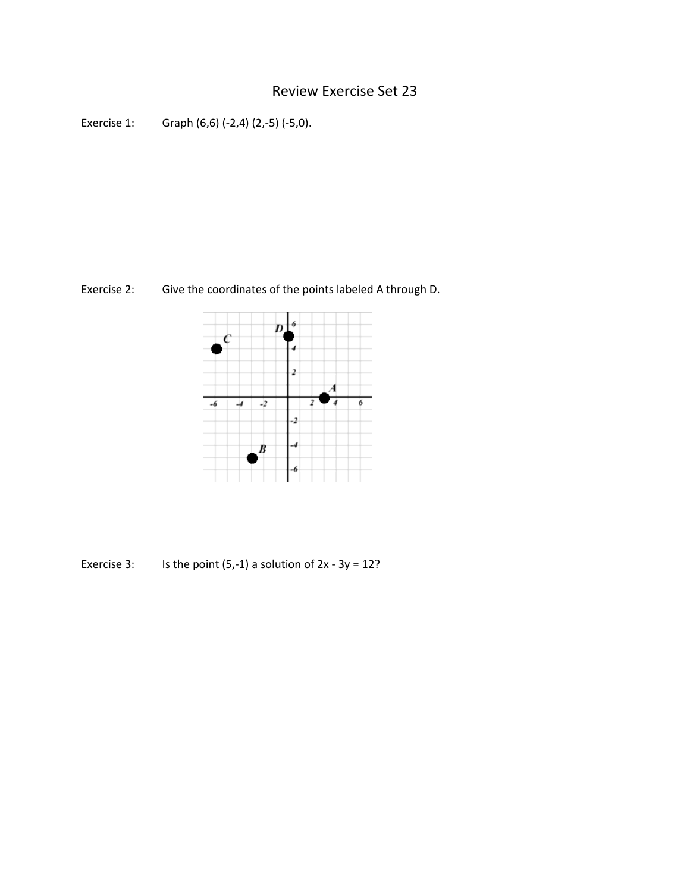## Review Exercise Set 23

```
Exercise 1: Graph (6,6) (-2,4) (2,-5) (-5,0).
```
Exercise 2: Give the coordinates of the points labeled A through D.



Exercise 3: Is the point  $(5,-1)$  a solution of  $2x - 3y = 12$ ?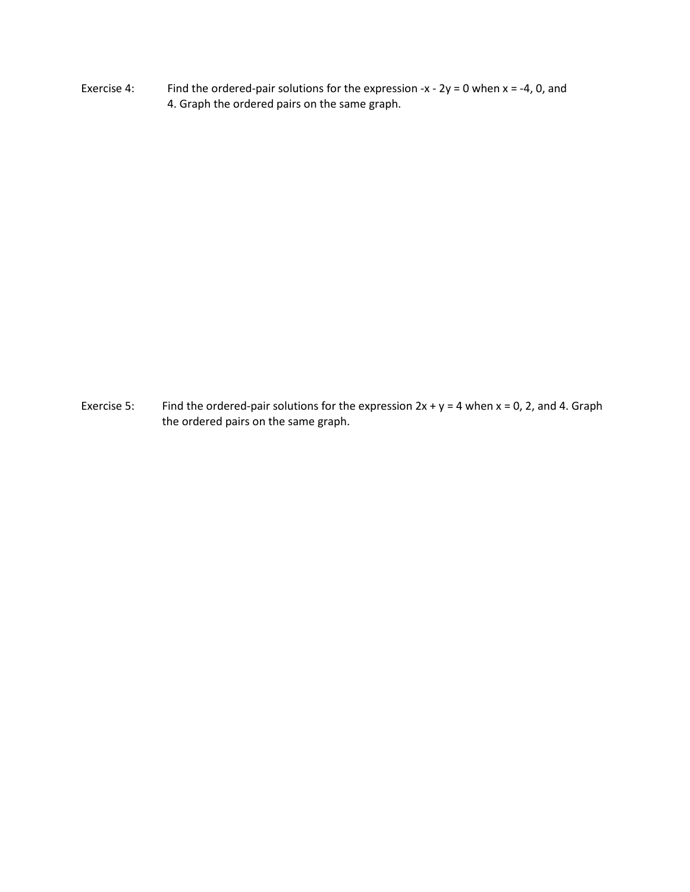Exercise 4: Find the ordered-pair solutions for the expression -x -  $2y = 0$  when x = -4, 0, and 4. Graph the ordered pairs on the same graph.

Exercise 5: Find the ordered-pair solutions for the expression  $2x + y = 4$  when  $x = 0$ , 2, and 4. Graph the ordered pairs on the same graph.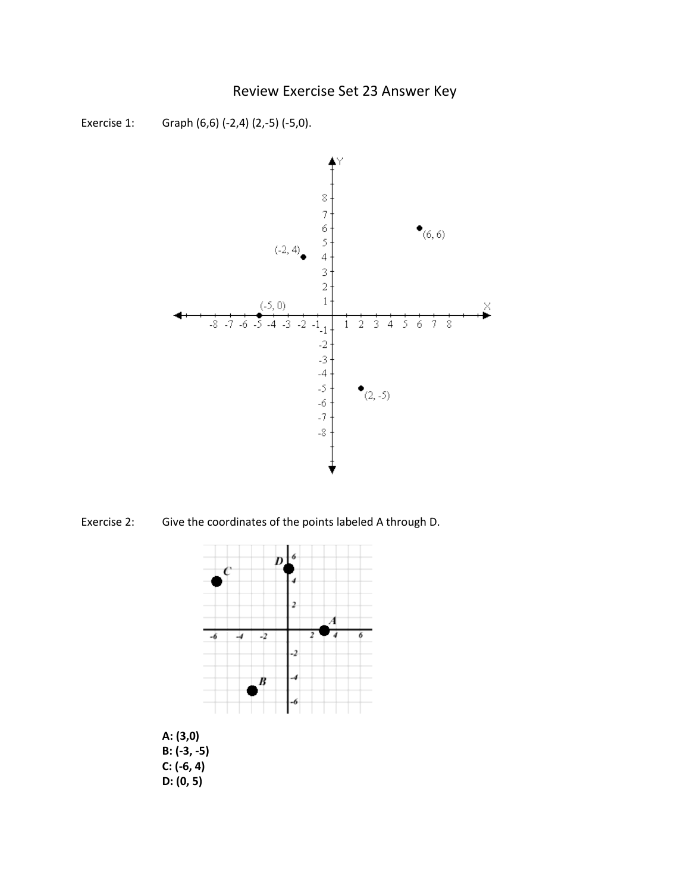## Review Exercise Set 23 Answer Key



Exercise 1: Graph (6,6) (-2,4) (2,-5) (-5,0).

Exercise 2: Give the coordinates of the points labeled A through D.



**A: (3,0) B: (-3, -5) C: (-6, 4) D: (0, 5)**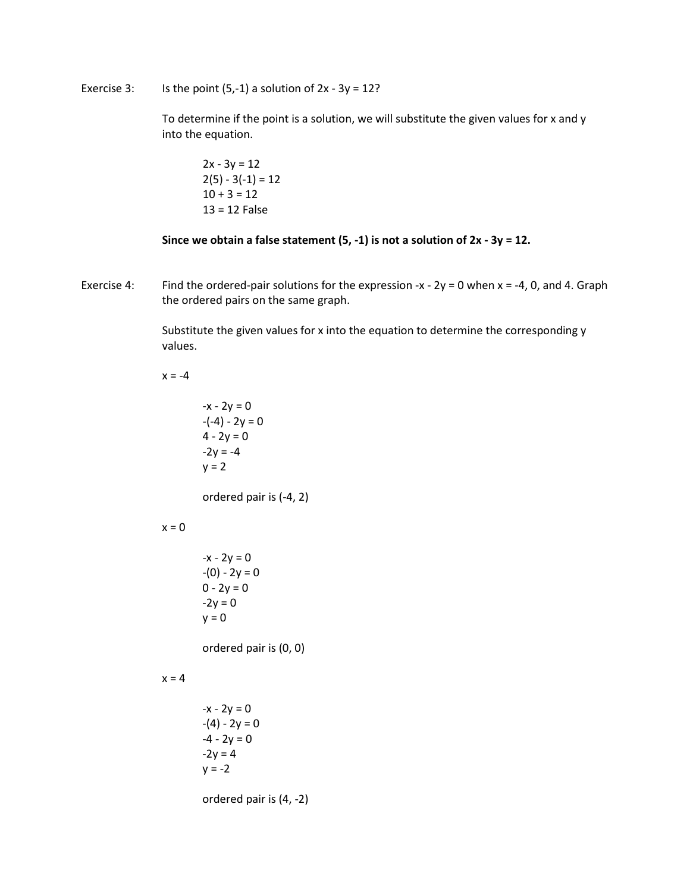Exercise 3: Is the point  $(5,-1)$  a solution of  $2x - 3y = 12$ ?

To determine if the point is a solution, we will substitute the given values for x and y into the equation.

$$
2x - 3y = 12
$$
  
2(5) - 3(-1) = 12  
10 + 3 = 12  
13 = 12 False

**Since we obtain a false statement (5, -1) is not a solution of 2x - 3y = 12.**

Exercise 4: Find the ordered-pair solutions for the expression -x -  $2y = 0$  when x = -4, 0, and 4. Graph the ordered pairs on the same graph.

> Substitute the given values for x into the equation to determine the corresponding y values.

 $x = -4$ 

 $-x - 2y = 0$  $-(-4) - 2y = 0$  $4 - 2y = 0$  $-2y = -4$  $y = 2$ 

ordered pair is (-4, 2)

## $x = 0$

 $-x - 2y = 0$  $-(0) - 2y = 0$  $0 - 2y = 0$  $-2y = 0$  $y = 0$ 

ordered pair is (0, 0)

## $x = 4$

 $-x - 2y = 0$  $-(4) - 2y = 0$  $-4 - 2y = 0$  $-2y = 4$  $y = -2$ 

ordered pair is (4, -2)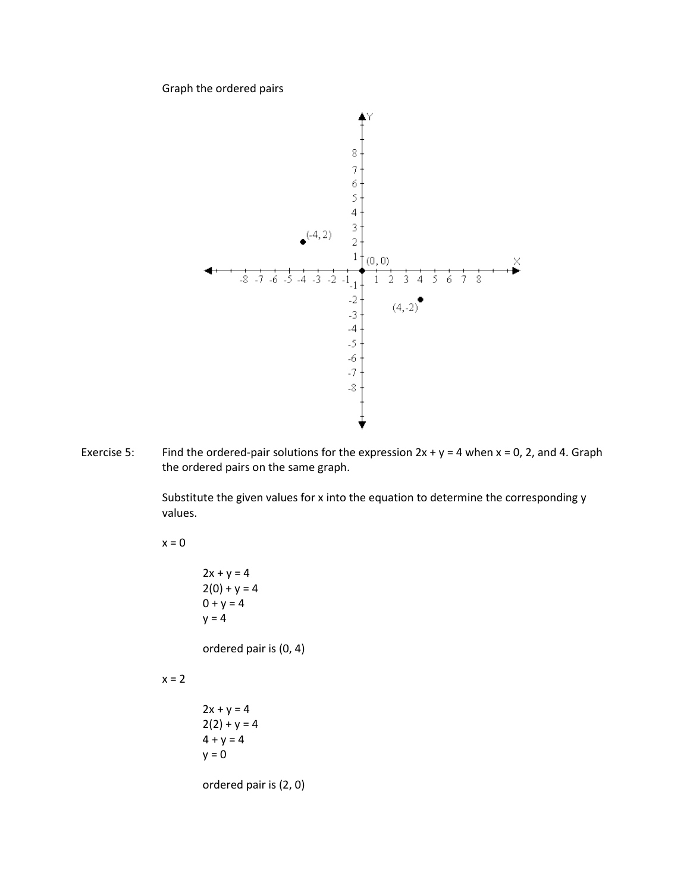Graph the ordered pairs



Exercise 5: Find the ordered-pair solutions for the expression  $2x + y = 4$  when  $x = 0$ , 2, and 4. Graph the ordered pairs on the same graph.

> Substitute the given values for x into the equation to determine the corresponding y values.

 $x = 0$ 

 $2x + y = 4$  $2(0) + y = 4$  $0 + y = 4$  $y = 4$ 

ordered pair is (0, 4)

 $x = 2$ 

 $2x + y = 4$  $2(2) + y = 4$  $4 + y = 4$  $y = 0$ 

ordered pair is (2, 0)